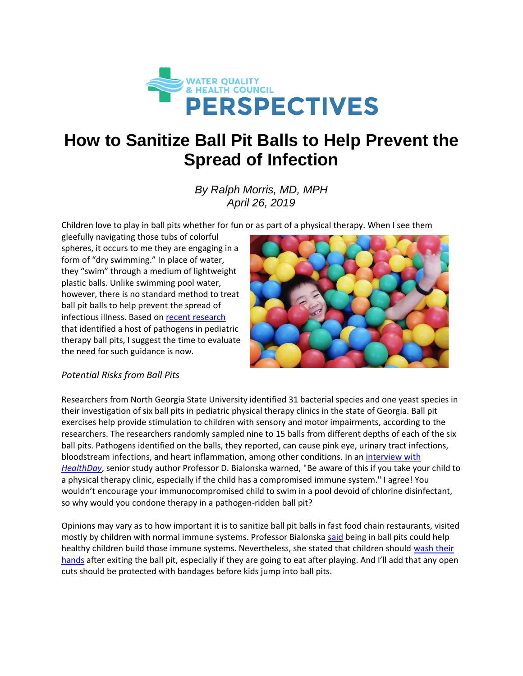

## **How to Sanitize Ball Pit Balls to Help Prevent the Spread of Infection**

*By Ralph Morris, MD, MPH April 26, 2019*

Children love to play in ball pits whether for fun or as part of a physical therapy. When I see them

gleefully navigating those tubs of colorful spheres, it occurs to me they are engaging in a form of "dry swimming." In place of water, they "swim" through a medium of lightweight plastic balls. Unlike swimming pool water, however, there is no standard method to treat ball pit balls to help prevent the spread of infectious illness. Based on [recent research](https://www.sciencedirect.com/science/article/pii/S0196655318309854) that identified a host of pathogens in pediatric therapy ball pits, I suggest the time to evaluate the need for such guidance is now.



## *Potential Risks from Ball Pits*

Researchers from North Georgia State University identified 31 bacterial species and one yeast species in their investigation of six ball pits in pediatric physical therapy clinics in the state of Georgia. Ball pit exercises help provide stimulation to children with sensory and motor impairments, according to the researchers. The researchers randomly sampled nine to 15 balls from different depths of each of the six ball pits. Pathogens identified on the balls, they reported, can caus[e pink eye,](https://www.webmd.com/eye-health/eye-health-conjunctivitis) urinary tract infections, bloodstream infections, and heart [inflammation,](https://www.webmd.com/arthritis/about-inflammation) among other conditions. In an [interview with](https://consumer.healthday.com/infectious-disease-information-21/germs-973/are-kids-ball-pits-jumping-with-germs-744257.html)  *[HealthDay](https://consumer.healthday.com/infectious-disease-information-21/germs-973/are-kids-ball-pits-jumping-with-germs-744257.html)*, senior study author Professor D. Bialonska warned, "Be aware of this if you take your child to a physical therapy clinic, especially if the child has a compromised [immune system.](https://www.webmd.com/cold-and-flu/immune-system-function)" I agree! You wouldn't encourage your immunocompromised child to swim in a pool devoid of chlorine disinfectant, so why would you condone therapy in a pathogen-ridden ball pit?

Opinions may vary as to how important it is to sanitize ball pit balls in fast food chain restaurants, visited mostly by children with normal immune systems. Professor Bialonska [said](https://consumer.healthday.com/infectious-disease-information-21/germs-973/are-kids-ball-pits-jumping-with-germs-744257.html) being in ball pits could help healthy children build those immune systems. Nevertheless, she stated that children should wash their [hands](https://www.cdc.gov/features/handwashing/index.html) after exiting the ball pit, especially if they are going to eat after playing. And I'll add that any open cuts should be protected with bandages before kids jump into ball pits.